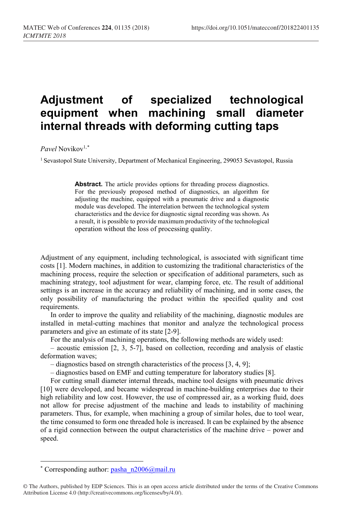## **Adjustment of specialized technological equipment when machining small diameter internal threads with deforming cutting taps**

*Pavel* Novikov1,[\\*](#page-0-0)

<sup>1</sup> Sevastopol State University, Department of Mechanical Engineering, 299053 Sevastopol, Russia

Abstract. The article provides options for threading process diagnostics. For the previously proposed method of diagnostics, an algorithm for adjusting the machine, equipped with a pneumatic drive and a diagnostic module was developed. The interrelation between the technological system characteristics and the device for diagnostic signal recording was shown. As a result, it is possible to provide maximum productivity of the technological operation without the loss of processing quality.

Adjustment of any equipment, including technological, is associated with significant time costs [1]. Modern machines, in addition to customizing the traditional characteristics of the machining process, require the selection or specification of additional parameters, such as machining strategy, tool adjustment for wear, clamping force, etc. The result of additional settings is an increase in the accuracy and reliability of machining, and in some cases, the only possibility of manufacturing the product within the specified quality and cost requirements.

In order to improve the quality and reliability of the machining, diagnostic modules are installed in metal-cutting machines that monitor and analyze the technological process parameters and give an estimate of its state [2-9].

For the analysis of machining operations, the following methods are widely used:

– acoustic emission [2, 3, 5-7], based on collection, recording and analysis of elastic deformation waves;

– diagnostics based on strength characteristics of the process [3, 4, 9];

– diagnostics based on EMF and cutting temperature for laboratory studies [8].

For cutting small diameter internal threads, machine tool designs with pneumatic drives [10] were developed, and became widespread in machine-building enterprises due to their high reliability and low cost. However, the use of compressed air, as a working fluid, does not allow for precise adjustment of the machine and leads to instability of machining parameters. Thus, for example, when machining a group of similar holes, due to tool wear, the time consumed to form one threaded hole is increased. It can be explained by the absence of a rigid connection between the output characteristics of the machine drive – power and speed.

 $\overline{a}$ 

<sup>\*</sup> Corresponding author:  $pasha_n2006@mail.ru$ 

<span id="page-0-0"></span><sup>©</sup> The Authors, published by EDP Sciences. This is an open access article distributed under the terms of the Creative Commons Attribution License 4.0 (http://creativecommons.org/licenses/by/4.0/).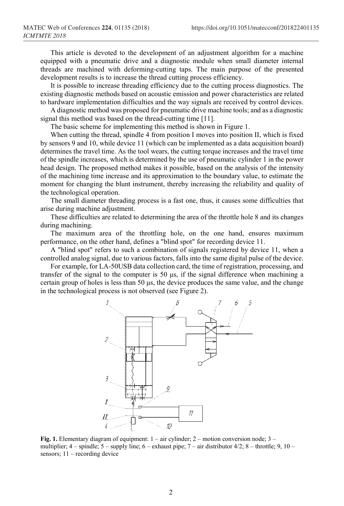This article is devoted to the development of an adjustment algorithm for a machine equipped with a pneumatic drive and a diagnostic module when small diameter internal threads are machined with deforming-cutting taps. The main purpose of the presented development results is to increase the thread cutting process efficiency.

It is possible to increase threading efficiency due to the cutting process diagnostics. The existing diagnostic methods based on acoustic emission and power characteristics are related to hardware implementation difficulties and the way signals are received by control devices.

A diagnostic method was proposed for pneumatic drive machine tools; and as a diagnostic signal this method was based on the thread-cutting time [11].

The basic scheme for implementing this method is shown in Figure 1.

When cutting the thread, spindle 4 from position I moves into position II, which is fixed by sensors 9 and 10, while device 11 (which can be implemented as a data acquisition board) determines the travel time. As the tool wears, the cutting torque increases and the travel time of the spindle increases, which is determined by the use of pneumatic cylinder 1 in the power head design. The proposed method makes it possible, based on the analysis of the intensity of the machining time increase and its approximation to the boundary value, to estimate the moment for changing the blunt instrument, thereby increasing the reliability and quality of the technological operation.

The small diameter threading process is a fast one, thus, it causes some difficulties that arise during machine adjustment.

These difficulties are related to determining the area of the throttle hole 8 and its changes during machining.

The maximum area of the throttling hole, on the one hand, ensures maximum performance, on the other hand, defines a "blind spot" for recording device 11.

A "blind spot" refers to such a combination of signals registered by device 11, when a controlled analog signal, due to various factors, falls into the same digital pulse of the device.

For example, for LA-50USB data collection card, the time of registration, processing, and transfer of the signal to the computer is 50 μs, if the signal difference when machining a certain group of holes is less than 50 μs, the device produces the same value, and the change in the technological process is not observed (see Figure 2).



**Fig. 1.** Elementary diagram of equipment: 1 – air cylinder; 2 – motion conversion node; 3 – multiplier;  $4$  – spindle;  $5$  – supply line;  $6$  – exhaust pipe;  $7$  – air distributor  $4/2$ ;  $8$  – throttle;  $9$ ,  $10$  – sensors; 11 – recording device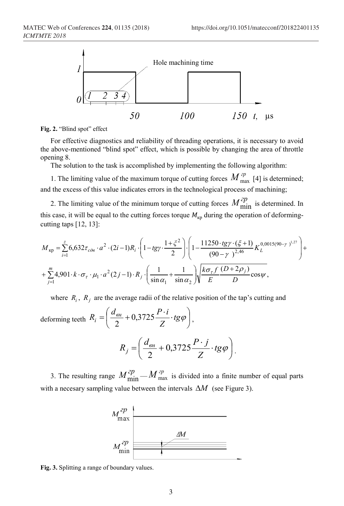

**Fig. 2.** "Blind spot" effect

For effective diagnostics and reliability of threading operations, it is necessary to avoid the above-mentioned "blind spot" effect, which is possible by changing the area of throttle opening 8.

The solution to the task is accomplished by implementing the following algorithm:

1. The limiting value of the maximum torque of cutting forces  $M_{\text{max}}^{2p}$  [4] is determined; and the excess of this value indicates errors in the technological process of machining;

2. The limiting value of the minimum torque of cutting forces  $M_{\text{min}}^{2p}$  is determined. In this case, it will be equal to the cutting forces torque  $M_{\text{kp}}$  during the operation of deformingcutting taps  $[12, 13]$ :

$$
M_{\kappa p} = \sum_{i=1}^{z} 6,632\tau_{\text{c}\partial\theta} \cdot a^{2} \cdot (2i-1)R_{i} \cdot \left(1 - tgy \cdot \frac{1 + \xi^{2}}{2}\right) \cdot \left(1 - \frac{11250 \cdot tg\gamma \cdot (\xi + 1)}{(90 - \gamma)^{2.46}} K_{L}^{0,0015(90 - \gamma)^{1.27}}\right) + \sum_{j=1}^{m} 4,901 \cdot k \cdot \sigma_{\tau} \cdot \mu_{1} \cdot a^{2} (2j-1) \cdot R_{j} \cdot \left(\frac{1}{\sin \alpha_{1}} + \frac{1}{\sin \alpha_{2}}\right) \sqrt{\frac{k\sigma_{\tau} f}{E} \frac{(D + 2\rho_{j})}{D}} \cos \psi,
$$

where  $R_i$ ,  $R_j$  are the average radii of the relative position of the tap's cutting and

deforming teeth  $R_i = \frac{a_{\theta H}}{2} + 0.3725 \frac{I}{Z} \cdot tg\varphi$ J  $\left(\frac{d_{\scriptscriptstyle{BH}}}{2}+0.3725\frac{P\cdot i}{7} \cdot tg\varphi\right)$  $R_i = \left(\frac{d_{\textit{gen}}}{2} + 0.3725 \frac{P \cdot i}{Z} \cdot \textit{tg}\varphi\right),$ 

$$
R_j = \left(\frac{d_{\text{BH}}}{2} + 0.3725 \frac{P \cdot j}{Z} \cdot \text{tg}\varphi\right).
$$

3. The resulting range  $M_{\text{min}}^{2p} - M_{\text{max}}^{2p}$  is divided into a finite number of equal parts with a necesary sampling value between the intervals ∆*M* (see Figure 3).



**Fig. 3.** Splitting a range of boundary values.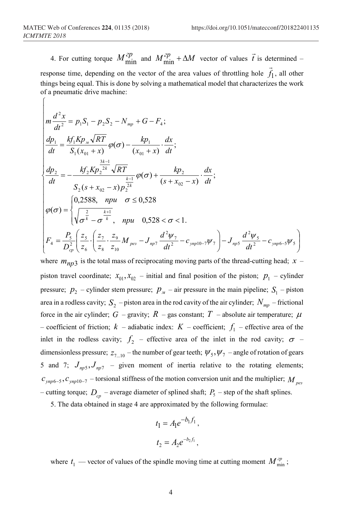$\sqrt{ }$ 

4. For cutting torque  $M_{\text{min}}^{2p}$  and  $M_{\text{min}}^{2p} + \Delta M$  vector of values  $\vec{t}$  is determined –  $\overline{a}$ 

response time, depending on the vector of the area values of throttling hole  $f_1$ , all other things being equal. This is done by solving a mathematical model that characterizes the work of a pneumatic drive machine:

$$
m \frac{d^2 x}{dt^2} = p_1 S_1 - p_2 S_2 - N_{mp} + G - F_4; \n \frac{dp_1}{dt} = \frac{k f_1 K p_{\nu} \sqrt{RT}}{S_1 (x_{01} + x)} \varphi(\sigma) - \frac{k p_1}{(x_{01} + x)} \cdot \frac{dx}{dt}; \n \frac{dp_2}{dt} = - \frac{k f_2 K p_2^{\frac{3k-1}{2k}} \sqrt{RT}}{S_2 (s + x_{02} - x) p_2^{\frac{k-1}{2k}}} \varphi(\sigma) + \frac{k p_2}{(s + x_{02} - x)} \cdot \frac{dx}{dt}; \n \varphi(\sigma) = \begin{cases} 0, & \text{if } 2 \leq k \leq 1 \\ \sqrt{\frac{2}{\sigma^k} - \sigma^{\frac{k+1}{k}}}, & \text{if } 2 \leq k \end{cases} \varphi(\sigma) = \begin{cases} 0, & \text{if } 2 \leq k \leq 1 \\ \sqrt{\frac{2}{\sigma^k} - \sigma^{\frac{k+1}{k}}}, & \text{if } 2 \leq k \leq k \end{cases} \text{ and } \sigma \leq 0, & \text{if } 2 \leq k \leq k \leq 1. \\ F_4 = \frac{P_5}{D_{cp}^2} \left( \frac{z_5}{z_6} \cdot \left( \frac{z_7}{z_8} \cdot \frac{z_9}{z_{10}} M_{\text{per}} - J_{\text{app}} \cdot \frac{d^2 \psi_7}{dt^2} - c_{\text{app10-7}} \psi_7 \right) - J_{\text{app5}} \frac{d^2 \psi_5}{dt^2} - c_{\text{app6-5}} \psi_5 \right)
$$

where  $m_{np3}$  is the total mass of reciprocating moving parts of the thread-cutting head;  $x$ piston travel coordinate;  $x_{01}, x_{02}$  – initial and final position of the piston;  $p_1$  – cylinder pressure;  $p_2$  – cylinder stem pressure;  $p_{\mu}$  – air pressure in the main pipeline;  $S_1$  – piston area in a rodless cavity;  $S_2$  – piston area in the rod cavity of the air cylinder;  $N_{mp}$  – frictional force in the air cylinder; *G* – gravity; *R* – gas constant; *T* – absolute air temperature;  $\mu$ – coefficient of friction;  $k$  – adiabatic index:  $K$  – coefficient;  $f_1$  – effective area of the inlet in the rodless cavity;  $f_2$  – effective area of the inlet in the rod cavity;  $\sigma$  – dimensionless pressure;  $z_{7}$  – the number of gear teeth;  $\psi_5$ ,  $\psi_7$  – angle of rotation of gears 5 and 7;  $J_{nn5}$ ,  $J_{nn7}$  – given moment of inertia relative to the rotating elements;  $c_{\text{ymp6-5}}$ ,  $c_{\text{ymp10-7}}$  – torsional stiffness of the motion conversion unit and the multiplier;  $M_{\text{pee}}$ – cutting torque;  $D_{cn}$  – average diameter of splined shaft;  $P_5$  – step of the shaft splines.

5. The data obtained in stage 4 are approximated by the following formulae:

$$
t_1 = A_1 e^{-b_1 f_1},
$$
  

$$
t_2 = A_2 e^{-b_2 f_1},
$$

where  $t_1$  — vector of values of the spindle moving time at cutting moment  $M_{\min}^{zp}$ ;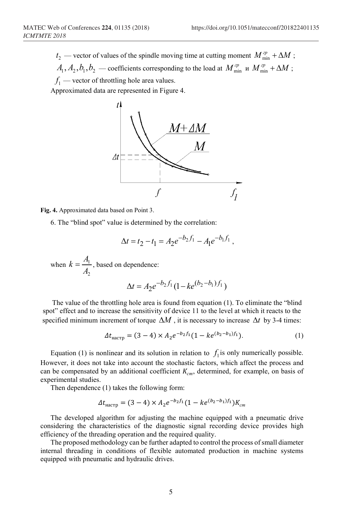$t_2$  — vector of values of the spindle moving time at cutting moment  $M_{\min}^{op} + \Delta M$  ;  $A_1, A_2, b_1, b_2$  — coefficients corresponding to the load at  $M^{zp}_{\min}$  и  $M^{zp}_{\min}$  +  $\Delta M$  ;

 $f_1$  — vector of throttling hole area values.

Approximated data are represented in Figure 4.



**Fig. 4.** Approximated data based on Point 3.

6. The "blind spot" value is determined by the correlation:

$$
\Delta t = t_2 - t_1 = A_2 e^{-b_2 f_1} - A_1 e^{-b_1 f_1},
$$

when 2 1 *A*  $k = \frac{A_1}{4}$ , based on dependence:

$$
\Delta t = A_2 e^{-b_2 f_1} (1 - ke^{(b_2 - b_1) f_1})
$$

The value of the throttling hole area is found from equation (1). To eliminate the "blind spot" effect and to increase the sensitivity of device 11 to the level at which it reacts to the specified minimum increment of torque  $\Delta M$ , it is necessary to increase  $\Delta t$  by 3-4 times:

$$
\Delta t_{\text{Hactp}} = (3-4) \times A_2 e^{-b_2 f_1} (1 - k e^{(b_2 - b_1)f_1}). \tag{1}
$$

Equation (1) is nonlinear and its solution in relation to  $f_i$  is only numerically possible. However, it does not take into account the stochastic factors, which affect the process and can be compensated by an additional coefficient  $K_{cm}$ , determined, for example, on basis of experimental studies.

Then dependence (1) takes the following form:

$$
\Delta t_{\text{Hacrp}} = (3-4) \times A_2 e^{-b_2 f_1} (1 - k e^{(b_2 - b_1) f_1}) K_{cm}
$$

The developed algorithm for adjusting the machine equipped with a pneumatic drive considering the characteristics of the diagnostic signal recording device provides high efficiency of the threading operation and the required quality.

The proposed methodology can be further adapted to control the process of small diameter internal threading in conditions of flexible automated production in machine systems equipped with pneumatic and hydraulic drives.